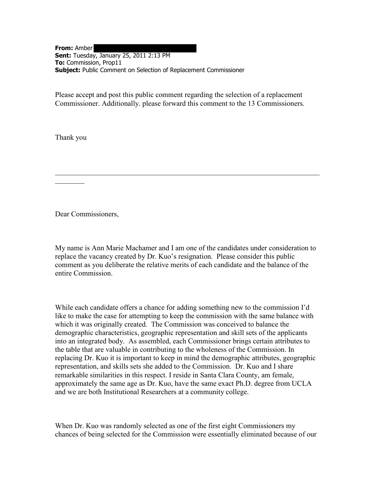**From:** Amber **Sent:** Tuesday, January 25, 2011 2:13 PM **To:** Commission, Prop11 **Subject:** Public Comment on Selection of Replacement Commissioner

Please accept and post this public comment regarding the selection of a replacement Commissioner. Additionally. please forward this comment to the 13 Commissioners.

Thank you

 $\frac{1}{2}$ 

Dear Commissioners,

My name is Ann Marie Machamer and I am one of the candidates under consideration to replace the vacancy created by Dr. Kuo's resignation. Please consider this public comment as you deliberate the relative merits of each candidate and the balance of the entire Commission.

\_\_\_\_\_\_\_\_\_\_\_\_\_\_\_\_\_\_\_\_\_\_\_\_\_\_\_\_\_\_\_\_\_\_\_\_\_\_\_\_\_\_\_\_\_\_\_\_\_\_\_\_\_\_\_\_\_\_\_\_\_\_\_\_\_\_\_\_\_\_\_\_

While each candidate offers a chance for adding something new to the commission I'd like to make the case for attempting to keep the commission with the same balance with which it was originally created. The Commission was conceived to balance the demographic characteristics, geographic representation and skill sets of the applicants into an integrated body. As assembled, each Commissioner brings certain attributes to the table that are valuable in contributing to the wholeness of the Commission. In replacing Dr. Kuo it is important to keep in mind the demographic attributes, geographic representation, and skills sets she added to the Commission. Dr. Kuo and I share remarkable similarities in this respect. I reside in Santa Clara County, am female, approximately the same age as Dr. Kuo, have the same exact Ph.D. degree from UCLA and we are both Institutional Researchers at a community college.

When Dr. Kuo was randomly selected as one of the first eight Commissioners my chances of being selected for the Commission were essentially eliminated because of our